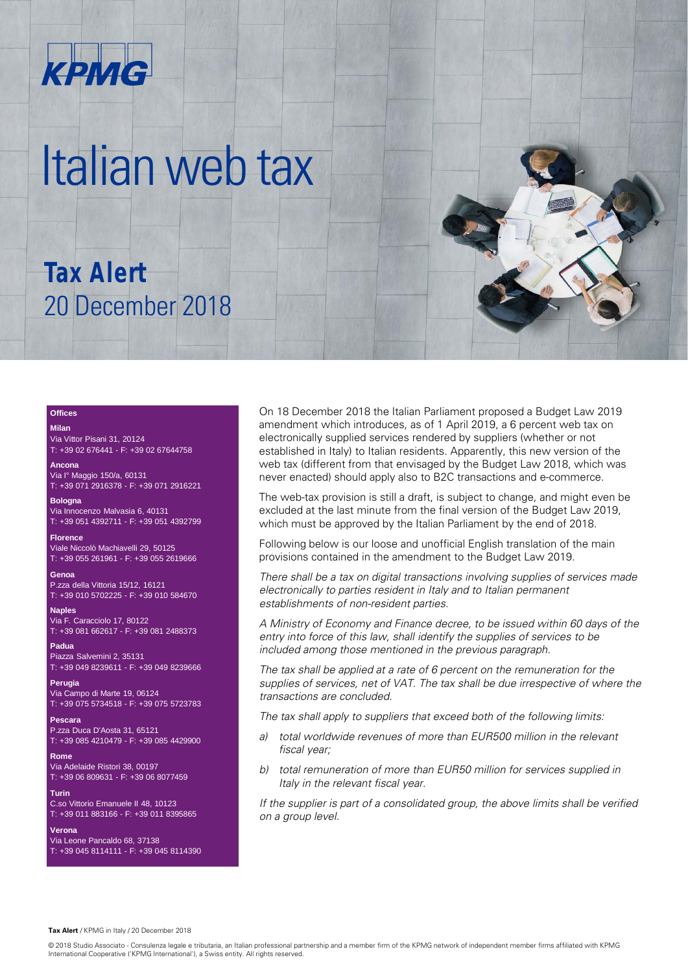

# Italian web tax

## **Tax Alert** 20 December 2018

#### **Offices**

#### **Milan**

Via Vittor Pisani 31, 20124 T: +39 02 676441 - F: +39 02 67644758

**Ancona** Via I° Maggio 150/a, 60131 T: +39 071 2916378 - F: +39 071 2916221

**Bologna** Via Innocenzo Malvasia 6, 40131 T: +39 051 4392711 - F: +39 051 4392799

**Florence** Viale Niccolò Machiavelli 29, 50125 T: +39 055 261961 - F: +39 055 2619666

**Genoa**

P.zza della Vittoria 15/12, 16121 T: +39 010 5702225 - F: +39 010 584670

**Naples** Via F. Caracciolo 17, 80122 T: +39 081 662617 - F: +39 081 2488373

**Padua** Piazza Salvemini 2, 35131 T: +39 049 8239611 - F: +39 049 8239666

**Perugia** Via Campo di Marte 19, 06124 T: +39 075 5734518 - F: +39 075 5723783

**Pescara** P.zza Duca D'Aosta 31, 65121 T: +39 085 4210479 - F: +39 085 4429900

**Rome** Via Adelaide Ristori 38, 00197 T: +39 06 809631 - F: +39 06 8077459

**Turin** C.so Vittorio Emanuele II 48, 10123 T: +39 011 883166 - F: +39 011 8395865

**Verona** Via Leone Pancaldo 68, 37138 T: +39 045 8114111 - F: +39 045 8114390 On 18 December 2018 the Italian Parliament proposed a Budget Law 2019 amendment which introduces, as of 1 April 2019, a 6 percent web tax on electronically supplied services rendered by suppliers (whether or not established in Italy) to Italian residents. Apparently, this new version of the web tax (different from that envisaged by the Budget Law 2018, which was never enacted) should apply also to B2C transactions and e-commerce.

The web-tax provision is still a draft, is subject to change, and might even be excluded at the last minute from the final version of the Budget Law 2019, which must be approved by the Italian Parliament by the end of 2018.

Following below is our loose and unofficial English translation of the main provisions contained in the amendment to the Budget Law 2019.

*There shall be a tax on digital transactions involving supplies of services made electronically to parties resident in Italy and to Italian permanent establishments of non-resident parties.* 

*A Ministry of Economy and Finance decree, to be issued within 60 days of the entry into force of this law, shall identify the supplies of services to be included among those mentioned in the previous paragraph.* 

*The tax shall be applied at a rate of 6 percent on the remuneration for the supplies of services, net of VAT. The tax shall be due irrespective of where the transactions are concluded.* 

*The tax shall apply to suppliers that exceed both of the following limits:* 

- *a) total worldwide revenues of more than EUR500 million in the relevant fiscal year;*
- *b) total remuneration of more than EUR50 million for services supplied in Italy in the relevant fiscal year.*

*If the supplier is part of a consolidated group, the above limits shall be verified on a group level.* 

**Tax Alert** / KPMG in Italy / 20 December 2018